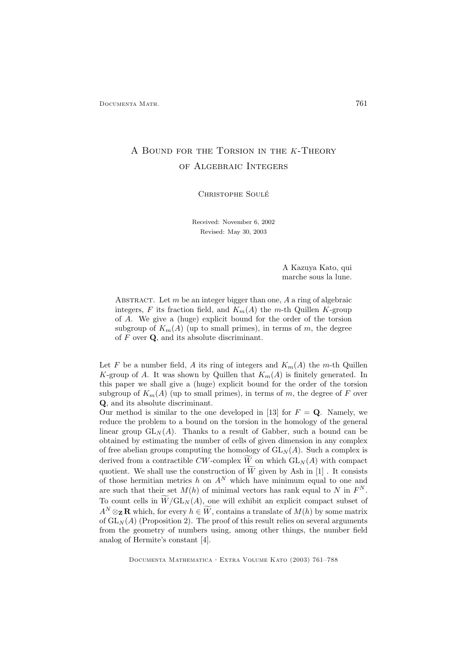# A Bound for the Torsion in the K-Theory of Algebraic Integers

CHRISTOPHE SOULÉ

Received: November 6, 2002 Revised: May 30, 2003

> A Kazuya Kato, qui marche sous la lune.

ABSTRACT. Let  $m$  be an integer bigger than one,  $A$  a ring of algebraic integers, F its fraction field, and  $K_m(A)$  the m-th Quillen K-group of A. We give a (huge) explicit bound for the order of the torsion subgroup of  $K_m(A)$  (up to small primes), in terms of m, the degree of  $F$  over  $\mathbf{Q}$ , and its absolute discriminant.

Let F be a number field, A its ring of integers and  $K_m(A)$  the m-th Quillen K-group of A. It was shown by Quillen that  $K_m(A)$  is finitely generated. In this paper we shall give a (huge) explicit bound for the order of the torsion subgroup of  $K_m(A)$  (up to small primes), in terms of m, the degree of F over Q, and its absolute discriminant.

Our method is similar to the one developed in [13] for  $F = Q$ . Namely, we reduce the problem to a bound on the torsion in the homology of the general linear group  $GL_N(A)$ . Thanks to a result of Gabber, such a bound can be obtained by estimating the number of cells of given dimension in any complex of free abelian groups computing the homology of  $GL_N(A)$ . Such a complex is derived from a contractible CW-complex  $\widetilde{W}$  on which  $GL_N(A)$  with compact quotient. We shall use the construction of  $\widetilde{W}$  given by Ash in [1]. It consists of those hermitian metrics h on  $A^N$  which have minimum equal to one and are such that their set  $M(h)$  of minimal vectors has rank equal to N in  $F<sup>N</sup>$ . To count cells in  $\widetilde{W}/GL_N(A)$ , one will exhibit an explicit compact subset of  $A^N \otimes_{\mathbf{Z}} \mathbf{R}$  which, for every  $h \in \widetilde{W}$ , contains a translate of  $M(h)$  by some matrix of  $GL_N(A)$  (Proposition 2). The proof of this result relies on several arguments from the geometry of numbers using, among other things, the number field analog of Hermite's constant [4].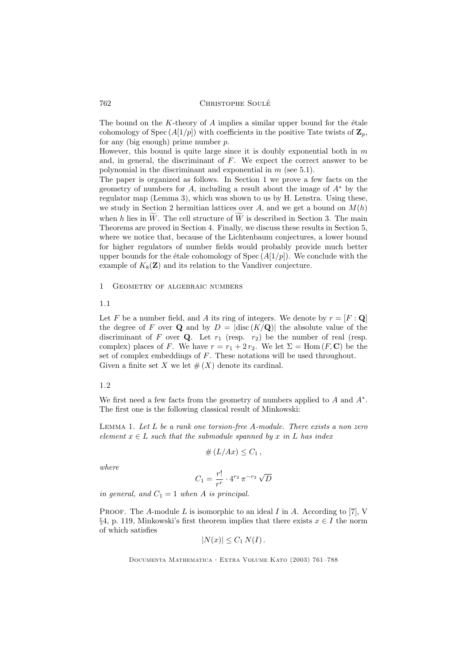The bound on the  $K$ -theory of  $A$  implies a similar upper bound for the étale cohomology of Spec  $(A[1/p])$  with coefficients in the positive Tate twists of  $\mathbb{Z}_n$ , for any (big enough) prime number  $p$ .

However, this bound is quite large since it is doubly exponential both in  $m$ and, in general, the discriminant of  $F$ . We expect the correct answer to be polynomial in the discriminant and exponential in  $m$  (see 5.1).

The paper is organized as follows. In Section 1 we prove a few facts on the geometry of numbers for A, including a result about the image of  $A^*$  by the regulator map (Lemma 3), which was shown to us by H. Lenstra. Using these, we study in Section 2 hermitian lattices over A, and we get a bound on  $M(h)$ when h lies in  $\tilde{W}$ . The cell structure of  $\tilde{W}$  is described in Section 3. The main Theorems are proved in Section 4. Finally, we discuss these results in Section 5, where we notice that, because of the Lichtenbaum conjectures, a lower bound for higher regulators of number fields would probably provide much better upper bounds for the étale cohomology of  $Spec (A[1/p])$ . We conclude with the example of  $K_8(\mathbf{Z})$  and its relation to the Vandiver conjecture.

#### 1 Geometry of algebraic numbers

#### 1.1

Let F be a number field, and A its ring of integers. We denote by  $r = [F : \mathbf{Q}]$ the degree of F over Q and by  $D = |{\rm disc}(K/\mathbf{Q})|$  the absolute value of the discriminant of F over Q. Let  $r_1$  (resp.  $r_2$ ) be the number of real (resp. complex) places of F. We have  $r = r_1 + 2r_2$ . We let  $\Sigma = \text{Hom}(F, \mathbb{C})$  be the set of complex embeddings of  $F$ . These notations will be used throughout. Given a finite set X we let  $#(X)$  denote its cardinal.

#### 1.2

We first need a few facts from the geometry of numbers applied to  $A$  and  $A^*$ . The first one is the following classical result of Minkowski:

LEMMA 1. Let  $L$  be a rank one torsion-free  $A$ -module. There exists a non zero element  $x \in L$  such that the submodule spanned by x in L has index

$$
\#(L/Ax)\leq C_1\,,
$$

where

$$
C_1 = \frac{r!}{r^r} \cdot 4^{r_2} \pi^{-r_2} \sqrt{D}
$$

in general, and  $C_1 = 1$  when A is principal.

PROOF. The A-module L is isomorphic to an ideal I in A. According to [7], V §4, p. 119, Minkowski's first theorem implies that there exists  $x \in I$  the norm of which satisfies

$$
|N(x)| \leq C_1 N(I).
$$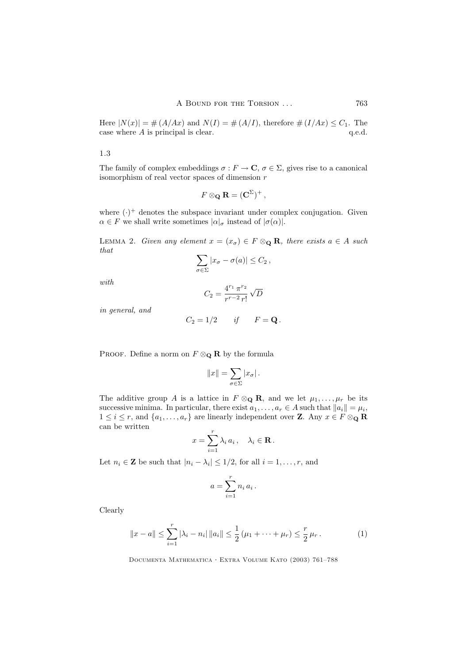Here  $|N(x)| = \# (A/Ax)$  and  $N(I) = \# (A/I)$ , therefore  $\# (I/Ax) \leq C_1$ . The case where A is principal is clear. q.e.d. case where  $A$  is principal is clear.

1.3

The family of complex embeddings  $\sigma : F \to \mathbf{C}, \sigma \in \Sigma$ , gives rise to a canonical isomorphism of real vector spaces of dimension r

$$
F\otimes_{\mathbf{Q}}\mathbf{R}=(\mathbf{C}^{\Sigma})^{+},
$$

where  $(\cdot)^+$  denotes the subspace invariant under complex conjugation. Given  $\alpha \in F$  we shall write sometimes  $|\alpha|_{\sigma}$  instead of  $|\sigma(\alpha)|$ .

LEMMA 2. Given any element  $x = (x_{\sigma}) \in F \otimes_{\mathbf{Q}} \mathbf{R}$ , there exists  $a \in A$  such that

$$
\sum_{\sigma \in \Sigma} |x_{\sigma} - \sigma(a)| \leq C_2,
$$

with

$$
C_2 = \frac{4^{r_1} \pi^{r_2}}{r^{r-2} r!} \sqrt{D}
$$

in general, and

$$
C_2 = 1/2 \qquad \text{if} \qquad F = \mathbf{Q} \, .
$$

PROOF. Define a norm on  $F \otimes_{\mathbf{Q}} \mathbf{R}$  by the formula

$$
||x|| = \sum_{\sigma \in \Sigma} |x_{\sigma}|.
$$

The additive group A is a lattice in  $F \otimes_{\mathbf{Q}} \mathbf{R}$ , and we let  $\mu_1, \ldots, \mu_r$  be its successive minima. In particular, there exist  $a_1, \ldots, a_r \in A$  such that  $||a_i|| = \mu_i$ ,  $1 \leq i \leq r$ , and  $\{a_1, \ldots, a_r\}$  are linearly independent over **Z**. Any  $x \in F \otimes_{\mathbf{Q}} \mathbf{R}$ can be written

$$
x = \sum_{i=1}^r \lambda_i a_i, \quad \lambda_i \in \mathbf{R}.
$$

Let  $n_i \in \mathbf{Z}$  be such that  $|n_i - \lambda_i| \leq 1/2$ , for all  $i = 1, \ldots, r$ , and

$$
a = \sum_{i=1}^r n_i a_i.
$$

Clearly

$$
||x - a|| \le \sum_{i=1}^r |\lambda_i - n_i| ||a_i|| \le \frac{1}{2} (\mu_1 + \dots + \mu_r) \le \frac{r}{2} \mu_r.
$$
 (1)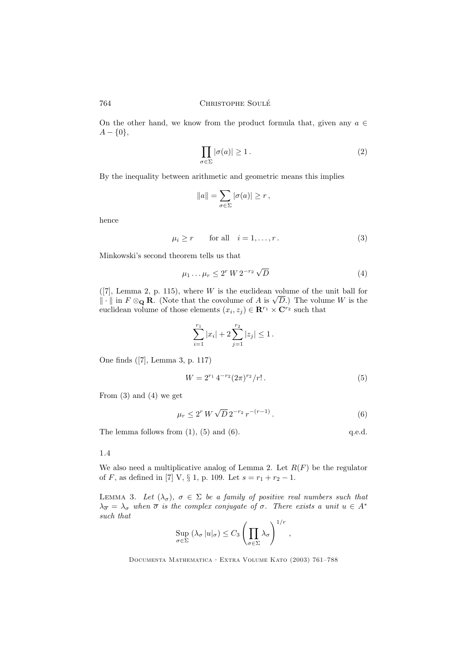On the other hand, we know from the product formula that, given any  $a \in$  $A - \{0\},\$ 

$$
\prod_{\sigma \in \Sigma} |\sigma(a)| \ge 1.
$$
 (2)

By the inequality between arithmetic and geometric means this implies

$$
||a|| = \sum_{\sigma \in \Sigma} |\sigma(a)| \ge r,
$$

hence

$$
\mu_i \ge r \qquad \text{for all} \quad i = 1, \dots, r \,. \tag{3}
$$

Minkowski's second theorem tells us that

$$
\mu_1 \dots \mu_r \le 2^r W 2^{-r_2} \sqrt{D} \tag{4}
$$

 $([7],$  Lemma 2, p. 115), where W is the euclidean volume of the unit ball for  $\|\cdot\|$  in  $F \otimes_{\mathbf{Q}} \mathbf{R}$ . (Note that the covolume of A is  $\sqrt{D}$ .) The volume W is the euclidean volume of those elements  $(x_i, z_j) \in \mathbb{R}^{r_1} \times \mathbb{C}^{r_2}$  such that

$$
\sum_{i=1}^{r_1} |x_i| + 2 \sum_{j=1}^{r_2} |z_j| \le 1.
$$

One finds ([7], Lemma 3, p. 117)

$$
W = 2^{r_1} 4^{-r_2} (2\pi)^{r_2} / r! . \tag{5}
$$

From (3) and (4) we get

$$
\mu_r \le 2^r W \sqrt{D} \, 2^{-r_2} \, r^{-(r-1)} \,. \tag{6}
$$

The lemma follows from  $(1)$ ,  $(5)$  and  $(6)$ . q.e.d.

#### 1.4

We also need a multiplicative analog of Lemma 2. Let  $R(F)$  be the regulator of F, as defined in [7] V,  $\S 1$ , p. 109. Let  $s = r_1 + r_2 - 1$ .

LEMMA 3. Let  $(\lambda_{\sigma})$ ,  $\sigma \in \Sigma$  be a family of positive real numbers such that  $\lambda_{\overline{\sigma}} = \lambda_{\sigma}$  when  $\overline{\sigma}$  is the complex conjugate of  $\sigma$ . There exists a unit  $u \in A^*$ such that  $\overline{1}$ 

$$
\sup_{\sigma \in \Sigma} (\lambda_{\sigma} |u|_{\sigma}) \leq C_3 \left( \prod_{\sigma \in \Sigma} \lambda_{\sigma} \right)^{1/r},
$$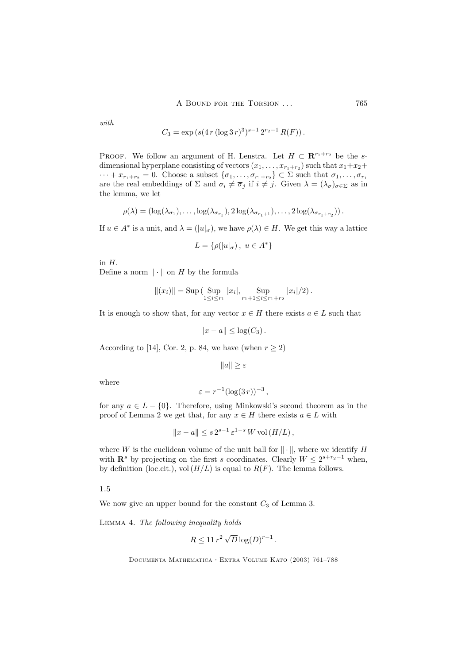with

$$
C_3 = \exp\left(s(4\,r\,(\log 3\,r)^3)^{s-1}\,2^{r_2-1}\,R(F)\right).
$$

PROOF. We follow an argument of H. Lenstra. Let  $H \subset \mathbb{R}^{r_1+r_2}$  be the sdimensional hyperplane consisting of vectors  $(x_1, \ldots, x_{r_1+r_2})$  such that  $x_1+x_2+$  $\cdots + x_{r_1+r_2} = 0$ . Choose a subset  $\{\sigma_1, \ldots, \sigma_{r_1+r_2}\} \subset \Sigma$  such that  $\sigma_1, \ldots, \sigma_{r_1}$ are the real embeddings of  $\Sigma$  and  $\sigma_i \neq \overline{\sigma}_j$  if  $i \neq j$ . Given  $\lambda = (\lambda_{\sigma})_{\sigma \in \Sigma}$  as in the lemma, we let

$$
\rho(\lambda) = (\log(\lambda_{\sigma_1}), \ldots, \log(\lambda_{\sigma_{r_1}}), 2\log(\lambda_{\sigma_{r_1+1}}), \ldots, 2\log(\lambda_{\sigma_{r_1+r_2}})).
$$

If  $u \in A^*$  is a unit, and  $\lambda = (|u|_{\sigma})$ , we have  $\rho(\lambda) \in H$ . We get this way a lattice

$$
L = \{ \rho(|u|_{\sigma}), \ u \in A^* \}
$$

in  $H$ .

Define a norm  $\|\cdot\|$  on H by the formula

$$
||(x_i)|| = \text{Sup} \left( \sup_{1 \leq i \leq r_1} |x_i|, \sup_{r_1 + 1 \leq i \leq r_1 + r_2} |x_i|/2 \right).
$$

It is enough to show that, for any vector  $x \in H$  there exists  $a \in L$  such that

$$
||x-a|| \leq \log(C_3).
$$

According to [14], Cor. 2, p. 84, we have (when  $r \ge 2$ )

 $||a|| \geq \varepsilon$ 

where

$$
\varepsilon = r^{-1} (\log(3 r))^{-3},
$$

for any  $a \in L - \{0\}$ . Therefore, using Minkowski's second theorem as in the proof of Lemma 2 we get that, for any  $x \in H$  there exists  $a \in L$  with

$$
||x-a|| \le s 2^{s-1} \varepsilon^{1-s} W \operatorname{vol} (H/L),
$$

where W is the euclidean volume of the unit ball for  $\|\cdot\|$ , where we identify H with  $\mathbb{R}^s$  by projecting on the first s coordinates. Clearly  $W \leq 2^{s+r_2-1}$  when, by definition (loc.cit.), vol  $(H/L)$  is equal to  $R(F)$ . The lemma follows.

1.5

We now give an upper bound for the constant  $C_3$  of Lemma 3.

Lemma 4. The following inequality holds

$$
R\leq 11\,r^2\,\sqrt{D}\log(D)^{r-1}\,.
$$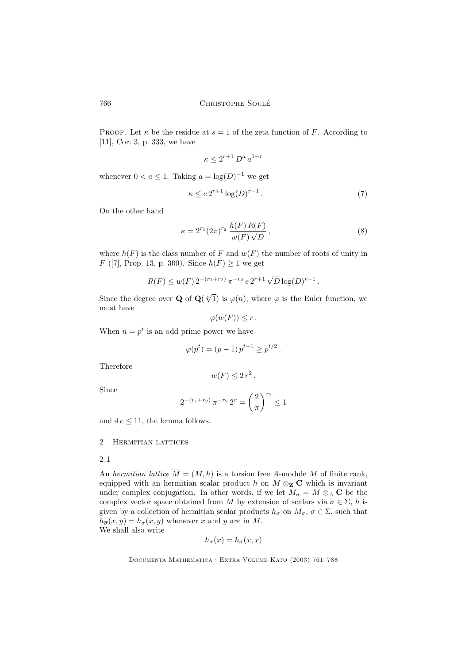PROOF. Let  $\kappa$  be the residue at  $s = 1$  of the zeta function of F. According to [11], Cor. 3, p. 333, we have

$$
\kappa \le 2^{r+1} D^a a^{1-r}
$$

whenever  $0 < a \leq 1$ . Taking  $a = \log(D)^{-1}$  we get

$$
\kappa \le e 2^{r+1} \log(D)^{r-1} \,. \tag{7}
$$

On the other hand

$$
\kappa = 2^{r_1} (2\pi)^{r_2} \frac{h(F) R(F)}{w(F) \sqrt{D}},
$$
\n(8)

where  $h(F)$  is the class number of F and  $w(F)$  the number of roots of unity in F ([7], Prop. 13, p. 300). Since  $h(F) \ge 1$  we get

$$
R(F) \le w(F) 2^{-(r_1+r_2)} \pi^{-r_2} e 2^{r+1} \sqrt{D} \log(D)^{r-1}.
$$

Since the degree over **Q** of  $\mathbf{Q}(\sqrt[n]{1})$  is  $\varphi(n)$ , where  $\varphi$  is the Euler function, we must have

$$
\varphi(w(F))\leq r.
$$

When  $n = p^t$  is an odd prime power we have

$$
\varphi(p^t) = (p-1) p^{t-1} \ge p^{t/2}.
$$

Therefore

$$
w(F) \leq 2 r^2.
$$

Since

$$
2^{-(r_1+r_2)} \pi^{-r_2} 2^r = \left(\frac{2}{\pi}\right)^{r_2} \le 1
$$

and  $4e \leq 11$ , the lemma follows.

#### 2 Hermitian lattices

# 2.1

An hermitian lattice  $\overline{M} = (M, h)$  is a torsion free A-module M of finite rank, equipped with an hermitian scalar product h on  $M \otimes_{\mathbf{Z}} \mathbf{C}$  which is invariant under complex conjugation. In other words, if we let  $M_{\sigma} = M \otimes_A \mathbb{C}$  be the complex vector space obtained from M by extension of scalars via  $\sigma \in \Sigma$ , h is given by a collection of hermitian scalar products  $h_{\sigma}$  on  $M_{\sigma}$ ,  $\sigma \in \Sigma$ , such that  $h_{\overline{\sigma}}(x, y) = h_{\sigma}(x, y)$  whenever x and y are in M. We shall also write

$$
h_{\sigma}(x) = h_{\sigma}(x, x)
$$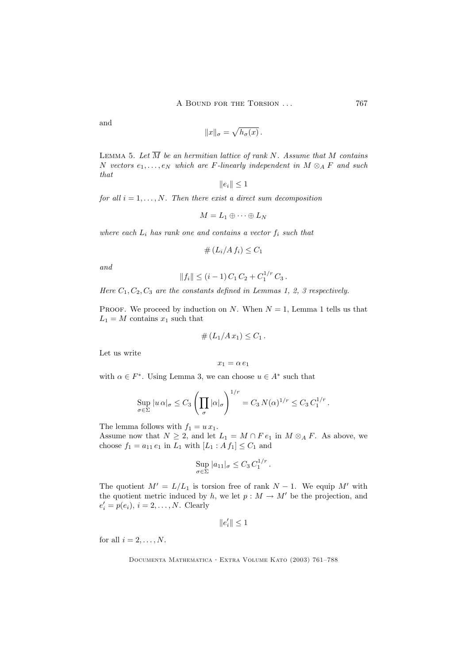and

$$
||x||_{\sigma} = \sqrt{h_{\sigma}(x)}.
$$

LEMMA 5. Let  $\overline{M}$  be an hermitian lattice of rank N. Assume that M contains N vectors  $e_1, \ldots, e_N$  which are F-linearly independent in  $M \otimes_A F$  and such that

$$
\|e_i\|\leq 1
$$

for all  $i = 1, \ldots, N$ . Then there exist a direct sum decomposition

$$
M=L_1\oplus\cdots\oplus L_N
$$

where each  $L_i$  has rank one and contains a vector  $f_i$  such that

$$
\# \left( L_i / A \, f_i \right) \leq C_1
$$

and

$$
||f_i|| \leq (i-1) C_1 C_2 + C_1^{1/r} C_3.
$$

Here  $C_1, C_2, C_3$  are the constants defined in Lemmas 1, 2, 3 respectively.

PROOF. We proceed by induction on N. When  $N = 1$ , Lemma 1 tells us that  $L_1 = M$  contains  $x_1$  such that

$$
\#(L_1/Ax_1)\leq C_1.
$$

Let us write

$$
x_1=\alpha\,e_1
$$

with  $\alpha \in F^*$ . Using Lemma 3, we can choose  $u \in A^*$  such that

$$
\sup_{\sigma \in \Sigma} |u \alpha|_{\sigma} \leq C_3 \left( \prod_{\sigma} |\alpha|_{\sigma} \right)^{1/r} = C_3 N(\alpha)^{1/r} \leq C_3 C_1^{1/r}.
$$

The lemma follows with  $f_1 = u x_1$ .

Assume now that  $N \geq 2$ , and let  $L_1 = M \cap F e_1$  in  $M \otimes_A F$ . As above, we choose  $f_1 = a_{11} e_1$  in  $L_1$  with  $[L_1 : A f_1] \leq C_1$  and

$$
\sup_{\sigma \in \Sigma} |a_{11}|_{\sigma} \leq C_3 C_1^{1/r} .
$$

The quotient  $M' = L/L_1$  is torsion free of rank  $N - 1$ . We equip M' with the quotient metric induced by h, we let  $p : M \to M'$  be the projection, and  $e'_{i} = p(e_{i}), i = 2, \ldots, N.$  Clearly

$$
\|e_i'\|\leq 1
$$

for all  $i = 2, \ldots, N$ .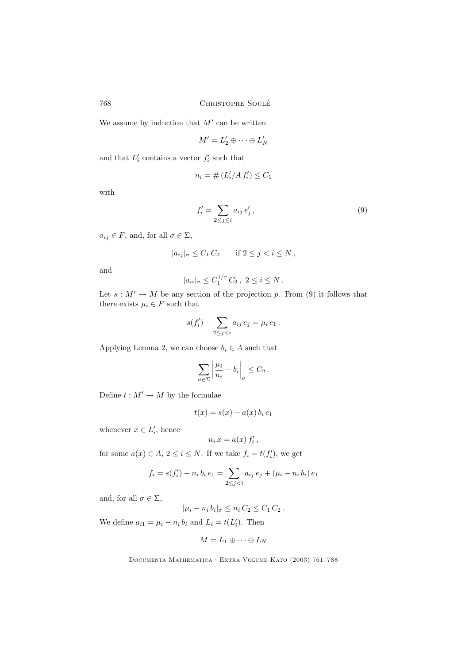We assume by induction that  $M'$  can be written

$$
M'=L'_2\oplus\cdots\oplus L'_N
$$

and that  $L_i'$  contains a vector  $f_i'$  such that

$$
n_i = \# \left( L_i'/A \, f_i' \right) \le C_1
$$

with

$$
f_i' = \sum_{2 \le j \le i} a_{ij} e_j',\tag{9}
$$

 $a_{ij} \in F$ , and, for all  $\sigma \in \Sigma$ ,

$$
|a_{ij}|_{\sigma} \leq C_1 C_2 \quad \text{if } 2 \leq j < i \leq N \,,
$$

and

$$
|a_{ii}|_{\sigma} \leq C_1^{1/r} C_3, \ 2 \leq i \leq N.
$$

Let  $s : M' \to M$  be any section of the projection p. From (9) it follows that there exists  $\mu_i \in F$  such that

$$
s(f_i') - \sum_{2 \le j < i} a_{ij} \, e_j = \mu_i \, e_1 \, .
$$

Applying Lemma 2, we can choose  $b_i \in A$  such that

$$
\sum_{\sigma \in \Sigma} \left| \frac{\mu_i}{n_i} - b_i \right|_{\sigma} \leq C_2 \,.
$$

Define  $t : M' \to M$  by the formulae

$$
t(x) = s(x) - a(x) b_i e_1
$$

whenever  $x \in L'_i$ , hence

$$
n_i x = a(x) f'_i,
$$

for some  $a(x) \in A$ ,  $2 \leq i \leq N$ . If we take  $f_i = t(f'_i)$ , we get

$$
f_i = s(f'_i) - n_i b_i e_1 = \sum_{2 \le j < i} a_{ij} e_j + (\mu_i - n_i b_i) e_1
$$

and, for all  $\sigma \in \Sigma$ ,

$$
|\mu_i - n_i b_i|_{\sigma} \leq n_i C_2 \leq C_1 C_2.
$$

We define  $a_{i1} = \mu_i - n_i b_i$  and  $L_i = t(L'_i)$ . Then

$$
M=L_1\oplus\cdots\oplus L_N
$$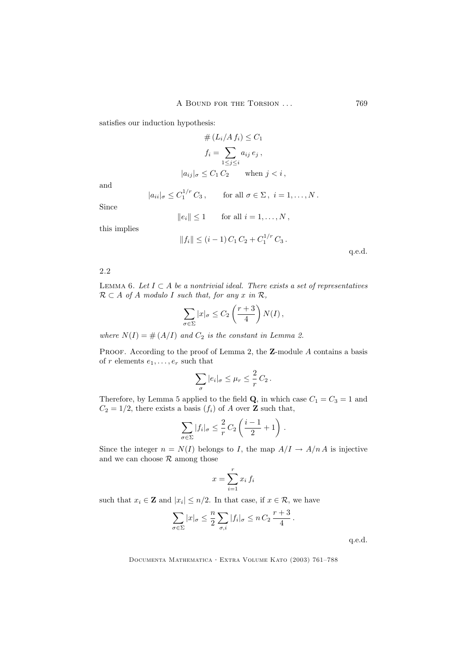satisfies our induction hypothesis:

$$
# (L_i/A f_i) \le C_1
$$
  
\n
$$
f_i = \sum_{1 \le j \le i} a_{ij} e_j,
$$
  
\n
$$
|a_{ij}|_{\sigma} \le C_1 C_2 \quad \text{when } j < i,
$$

and

$$
|a_{ii}|_{\sigma} \leq C_1^{1/r} C_3, \quad \text{for all } \sigma \in \Sigma, i = 1, \dots, N.
$$

Since

$$
||e_i|| \le 1 \qquad \text{for all } i = 1, \dots, N\,,
$$

this implies

$$
||f_i|| \le (i-1) C_1 C_2 + C_1^{1/r} C_3.
$$

q.e.d.

2.2

LEMMA 6. Let  $I \subset A$  be a nontrivial ideal. There exists a set of representatives  $\mathcal{R} \subset A$  of A modulo I such that, for any x in  $\mathcal{R}$ ,

$$
\sum_{\sigma \in \Sigma} |x|_{\sigma} \le C_2 \left( \frac{r+3}{4} \right) N(I) \,,
$$

where  $N(I) = # (A/I)$  and  $C_2$  is the constant in Lemma 2.

PROOF. According to the proof of Lemma 2, the Z-module A contains a basis of r elements  $e_1, \ldots, e_r$  such that

$$
\sum_{\sigma} |e_i|_{\sigma} \leq \mu_r \leq \frac{2}{r} C_2.
$$

Therefore, by Lemma 5 applied to the field  $\mathbf{Q}$ , in which case  $C_1 = C_3 = 1$  and  $C_2 = 1/2$ , there exists a basis  $(f_i)$  of A over **Z** such that,

$$
\sum_{\sigma \in \Sigma} |f_i|_{\sigma} \leq \frac{2}{r} C_2 \left( \frac{i-1}{2} + 1 \right).
$$

Since the integer  $n = N(I)$  belongs to I, the map  $A/I \rightarrow A/nA$  is injective and we can choose  $R$  among those

$$
x = \sum_{i=1}^{r} x_i f_i
$$

such that  $x_i \in \mathbf{Z}$  and  $|x_i| \leq n/2$ . In that case, if  $x \in \mathcal{R}$ , we have

$$
\sum_{\sigma \in \Sigma} |x|_{\sigma} \leq \frac{n}{2} \sum_{\sigma, i} |f_i|_{\sigma} \leq n C_2 \frac{r+3}{4}.
$$

q.e.d.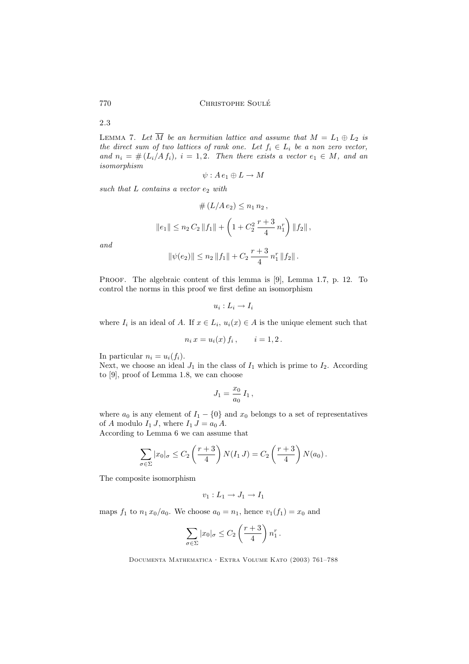2.3

LEMMA 7. Let  $\overline{M}$  be an hermitian lattice and assume that  $M = L_1 \oplus L_2$  is the direct sum of two lattices of rank one. Let  $f_i \in L_i$  be a non zero vector, and  $n_i = # (L_i/A f_i), i = 1, 2$ . Then there exists a vector  $e_1 \in M$ , and an isomorphism

$$
\psi: A\,e_1 \oplus L \to M
$$

such that  $L$  contains a vector  $e_2$  with

$$
\# (L/A e_2) \le n_1 n_2,
$$
  

$$
||e_1|| \le n_2 C_2 ||f_1|| + \left(1 + C_2^2 \frac{r+3}{4} n_1^r\right) ||f_2||,
$$
  

$$
||\psi(e_2)|| \le n_2 ||f_1|| + C_2 \frac{r+3}{4} n_1^r ||f_2||.
$$

and

PROOF. The algebraic content of this lemma is 
$$
[9]
$$
, Lemma 1.7, p. 12. To control the norms in this proof we first define an isomorphism

$$
u_i: L_i \to I_i
$$

where  $I_i$  is an ideal of A. If  $x \in L_i$ ,  $u_i(x) \in A$  is the unique element such that

$$
n_i x = u_i(x) f_i, \qquad i = 1, 2.
$$

In particular  $n_i = u_i(f_i)$ .

Next, we choose an ideal  $J_1$  in the class of  $I_1$  which is prime to  $I_2$ . According to [9], proof of Lemma 1.8, we can choose

$$
J_1 = \frac{x_0}{a_0} I_1 \,,
$$

where  $a_0$  is any element of  $I_1 - \{0\}$  and  $x_0$  belongs to a set of representatives of A modulo  $I_1 J$ , where  $I_1 J = a_0 A$ .

According to Lemma 6 we can assume that

$$
\sum_{\sigma \in \Sigma} |x_0|_{\sigma} \leq C_2 \left( \frac{r+3}{4} \right) N(I_1 J) = C_2 \left( \frac{r+3}{4} \right) N(a_0).
$$

The composite isomorphism

$$
v_1: L_1 \to J_1 \to I_1
$$

maps  $f_1$  to  $n_1 x_0/a_0$ . We choose  $a_0 = n_1$ , hence  $v_1(f_1) = x_0$  and

$$
\sum_{\sigma \in \Sigma} |x_0|_{\sigma} \leq C_2 \left( \frac{r+3}{4} \right) n_1^r.
$$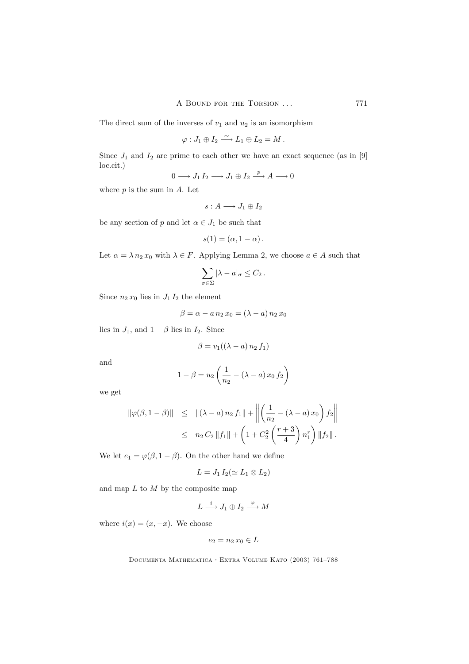The direct sum of the inverses of  $v_1$  and  $u_2$  is an isomorphism

$$
\varphi: J_1\oplus I_2 \stackrel{\sim}{\longrightarrow} L_1\oplus L_2 = M.
$$

Since  $J_1$  and  $I_2$  are prime to each other we have an exact sequence (as in [9] loc.cit.)

$$
0 \longrightarrow J_1 I_2 \longrightarrow J_1 \oplus I_2 \stackrel{p}{\longrightarrow} A \longrightarrow 0
$$

where  $p$  is the sum in  $A$ . Let

$$
s:A\longrightarrow J_1\oplus I_2
$$

be any section of p and let  $\alpha \in J_1$  be such that

$$
s(1)=(\alpha,1-\alpha)\,.
$$

Let  $\alpha = \lambda n_2 x_0$  with  $\lambda \in F$ . Applying Lemma 2, we choose  $a \in A$  such that

$$
\sum_{\sigma \in \Sigma} |\lambda - a|_{\sigma} \leq C_2.
$$

Since  $n_2 x_0$  lies in  $J_1 I_2$  the element

$$
\beta = \alpha - a n_2 x_0 = (\lambda - a) n_2 x_0
$$

lies in  $J_1$ , and  $1 - \beta$  lies in  $I_2$ . Since

$$
\beta = v_1((\lambda - a) n_2 f_1)
$$

and

$$
1 - \beta = u_2 \left( \frac{1}{n_2} - (\lambda - a) x_0 f_2 \right)
$$

we get

$$
\|\varphi(\beta, 1 - \beta)\| \leq \|(\lambda - a) n_2 f_1\| + \left\| \left( \frac{1}{n_2} - (\lambda - a) x_0 \right) f_2 \right\|
$$
  

$$
\leq n_2 C_2 \|f_1\| + \left( 1 + C_2^2 \left( \frac{r+3}{4} \right) n_1^r \right) \|f_2\|.
$$

We let  $e_1 = \varphi(\beta, 1 - \beta)$ . On the other hand we define

$$
L = J_1 I_2 (\simeq L_1 \otimes L_2)
$$

and map  $L$  to  $M$  by the composite map

$$
L \xrightarrow{i} J_1 \oplus I_2 \xrightarrow{\varphi} M
$$

where  $i(x) = (x, -x)$ . We choose

$$
e_2 = n_2 \, x_0 \in L
$$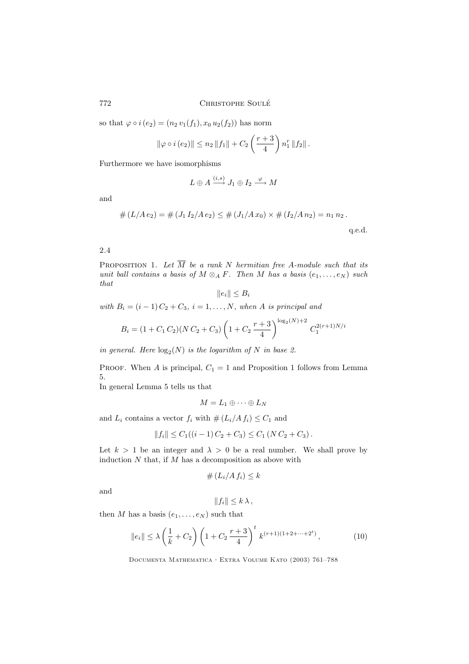so that  $\varphi \circ i(e_2) = (n_2 v_1(f_1), x_0 u_2(f_2))$  has norm

$$
\|\varphi \circ i\left(e_2\right)\| \leq n_2 \|f_1\| + C_2 \left(\frac{r+3}{4}\right) n_1^r \|f_2\|.
$$

Furthermore we have isomorphisms

$$
L \oplus A \xrightarrow{(i,s)} J_1 \oplus I_2 \xrightarrow{\varphi} M
$$

and

$$
# (L/A e_2) = # (J_1 I_2/A e_2) \le # (J_1/A x_0) \times # (I_2/A n_2) = n_1 n_2.
$$

q.e.d.

# 2.4

PROPOSITION 1. Let  $\overline{M}$  be a rank N hermitian free A-module such that its unit ball contains a basis of  $M \otimes_A F$ . Then M has a basis  $(e_1, \ldots, e_N)$  such that

$$
||e_i|| \leq B_i
$$

with  $B_i = (i-1) C_2 + C_3$ ,  $i = 1, ..., N$ , when A is principal and

$$
B_i = (1 + C_1 C_2)(N C_2 + C_3) \left(1 + C_2 \frac{r+3}{4}\right)^{\log_2(N)+2} C_1^{2(r+1)N/i}
$$

in general. Here  $\log_2(N)$  is the logarithm of N in base 2.

PROOF. When A is principal,  $C_1 = 1$  and Proposition 1 follows from Lemma 5.

In general Lemma 5 tells us that

$$
M=L_1\oplus\cdots\oplus L_N
$$

and  $L_i$  contains a vector  $f_i$  with  $\# (L_i/A f_i) \leq C_1$  and

$$
||f_i|| \leq C_1((i-1)C_2 + C_3) \leq C_1 (NC_2 + C_3).
$$

Let  $k > 1$  be an integer and  $\lambda > 0$  be a real number. We shall prove by induction  $N$  that, if  $M$  has a decomposition as above with

$$
\# \left( L_i / A \, f_i \right) \leq k
$$

and

$$
||f_i|| \leq k \lambda
$$

then M has a basis  $(e_1, \ldots, e_N)$  such that

$$
\|e_i\| \le \lambda \left(\frac{1}{k} + C_2\right) \left(1 + C_2 \frac{r+3}{4}\right)^t k^{(r+1)(1+2+\dots+2^t)},\tag{10}
$$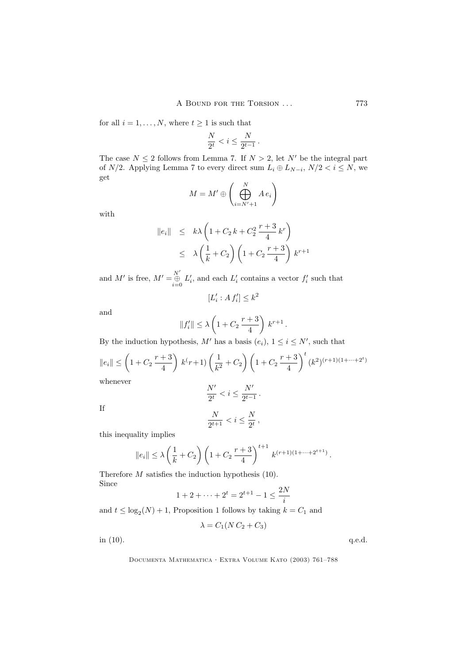for all  $i = 1, ..., N$ , where  $t \ge 1$  is such that

$$
\frac{N}{2^t} < i \le \frac{N}{2^{t-1}}.
$$

The case  $N \leq 2$  follows from Lemma 7. If  $N > 2$ , let N' be the integral part of  $N/2$ . Applying Lemma 7 to every direct sum  $L_i \oplus L_{N-i}$ ,  $N/2 < i \le N$ , we get

$$
M = M' \oplus \left(\bigoplus_{i=N'+1}^{N} A \, e_i\right)
$$

with

$$
\|e_i\| \le k\lambda \left(1 + C_2 k + C_2^2 \frac{r+3}{4} k^r\right)
$$
  

$$
\le \lambda \left(\frac{1}{k} + C_2\right) \left(1 + C_2 \frac{r+3}{4}\right) k^{r+1}
$$

and M' is free,  $M' = \bigoplus^{N'}$  $\bigoplus_{i=0}^{n} L'_{i}$ , and each  $L'_{i}$  contains a vector  $f'_{i}$  such that

$$
[L'_i : A f'_i] \leq k^2
$$

and

$$
||f'_i|| \le \lambda \left(1 + C_2 \frac{r+3}{4}\right) k^{r+1}.
$$

By the induction hypothesis,  $M'$  has a basis  $(e_i)$ ,  $1 \le i \le N'$ , such that

$$
||e_i|| \le \left(1 + C_2 \frac{r+3}{4}\right) k^r + 1 \left(\frac{1}{k^2} + C_2\right) \left(1 + C_2 \frac{r+3}{4}\right)^t (k^2)^{(r+1)(1+\dots+2^t)}
$$
  
whenever  

$$
N' \le \epsilon N'
$$

$$
f_{\rm{max}}
$$

If

$$
\frac{1}{2^t} < i \le
$$

$$
\frac{N}{2^{t+1}} < i \le \frac{N}{2^t},
$$

 $\frac{1}{2^{t-1}}$ .

this inequality implies

$$
||e_i|| \le \lambda \left(\frac{1}{k} + C_2\right) \left(1 + C_2 \frac{r+3}{4}\right)^{t+1} k^{(r+1)(1+\cdots+2^{t+1})}
$$

Therefore M satisfies the induction hypothesis (10). Since

$$
1 + 2 + \dots + 2^{t} = 2^{t+1} - 1 \le \frac{2N}{i}
$$

and  $t \leq \log_2(N) + 1$ , Proposition 1 follows by taking  $k = C_1$  and

$$
\lambda = C_1(N C_2 + C_3)
$$

in  $(10)$ . q.e.d.

Documenta Mathematica · Extra Volume Kato (2003) 761–788

.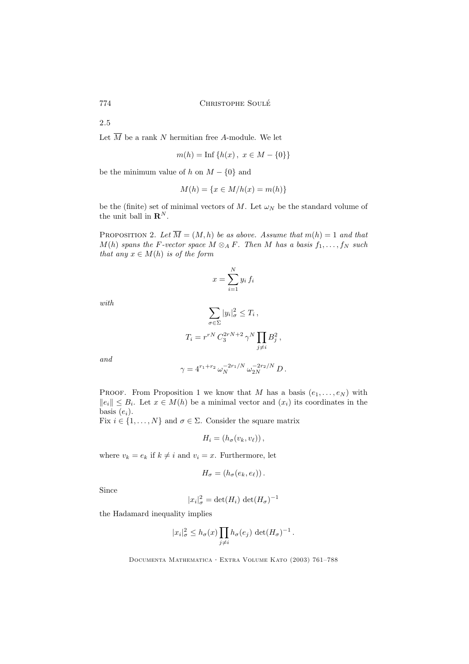2.5

Let  $\overline{M}$  be a rank N hermitian free A-module. We let

$$
m(h) = \text{Inf}\{h(x), \ x \in M - \{0\}\}\
$$

be the minimum value of h on  $M - \{0\}$  and

$$
M(h) = \{x \in M/h(x) = m(h)\}
$$

be the (finite) set of minimal vectors of M. Let  $\omega_N$  be the standard volume of the unit ball in  $\mathbf{R}^{N}$ .

PROPOSITION 2. Let  $\overline{M} = (M, h)$  be as above. Assume that  $m(h) = 1$  and that  $M(h)$  spans the F-vector space  $M \otimes_A F$ . Then M has a basis  $f_1, \ldots, f_N$  such that any  $x \in M(h)$  is of the form

$$
x = \sum_{i=1}^{N} y_i f_i
$$

with

$$
\sum_{\sigma \in \Sigma} |y_i|_{\sigma}^2 \le T_i,
$$
  

$$
T_i = r^{rN} C_3^{2rN+2} \gamma^N \prod_{j \ne i} B_j^2,
$$

and

$$
\gamma = 4^{r_1+r_2}\,\omega_N^{-2r_1/N}\,\omega_{2N}^{-2r_2/N}\,D\,.
$$

PROOF. From Proposition 1 we know that M has a basis  $(e_1, \ldots, e_N)$  with  $||e_i|| \leq B_i$ . Let  $x \in M(h)$  be a minimal vector and  $(x_i)$  its coordinates in the basis  $(e_i)$ .

Fix  $i \in \{1, ..., N\}$  and  $\sigma \in \Sigma$ . Consider the square matrix

$$
H_i = (h_\sigma(v_k, v_\ell)),
$$

where  $v_k = e_k$  if  $k \neq i$  and  $v_i = x$ . Furthermore, let

$$
H_{\sigma} = (h_{\sigma}(e_k, e_{\ell}))
$$
.

Since

$$
|x_i|^2_{\sigma} = \det(H_i) \, \det(H_{\sigma})^{-1}
$$

the Hadamard inequality implies

$$
|x_i|_{\sigma}^2 \le h_{\sigma}(x) \prod_{j \ne i} h_{\sigma}(e_j) \det(H_{\sigma})^{-1}.
$$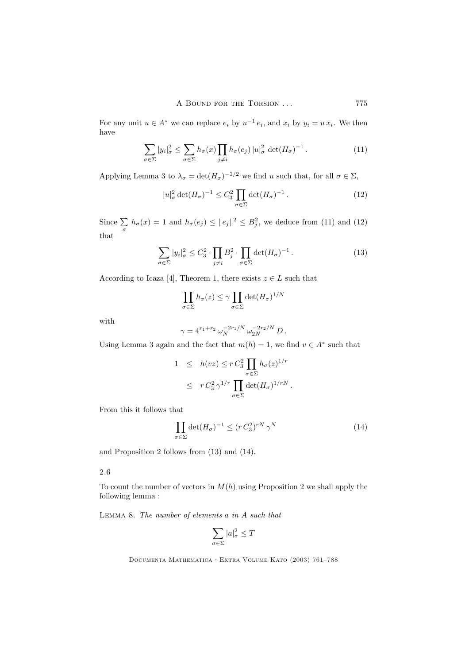For any unit  $u \in A^*$  we can replace  $e_i$  by  $u^{-1} e_i$ , and  $x_i$  by  $y_i = u x_i$ . We then have

$$
\sum_{\sigma \in \Sigma} |y_i|_{\sigma}^2 \le \sum_{\sigma \in \Sigma} h_{\sigma}(x) \prod_{j \neq i} h_{\sigma}(e_j) |u|_{\sigma}^2 \det(H_{\sigma})^{-1}.
$$
 (11)

Applying Lemma 3 to  $\lambda_{\sigma} = \det(H_{\sigma})^{-1/2}$  we find u such that, for all  $\sigma \in \Sigma$ ,

$$
|u|_{\sigma}^2 \det(H_{\sigma})^{-1} \le C_3^2 \prod_{\sigma \in \Sigma} \det(H_{\sigma})^{-1} . \tag{12}
$$

Since  $\sum_{\sigma} h_{\sigma}(x) = 1$  and  $h_{\sigma}(e_j) \leq ||e_j||^2 \leq B_j^2$ , we deduce from (11) and (12) that

$$
\sum_{\sigma \in \Sigma} |y_i|_{\sigma}^2 \le C_3^2 \cdot \prod_{j \neq i} B_j^2 \cdot \prod_{\sigma \in \Sigma} \det(H_{\sigma})^{-1}.
$$
 (13)

According to Icaza [4], Theorem 1, there exists  $z \in L$  such that

$$
\prod_{\sigma \in \Sigma} h_{\sigma}(z) \leq \gamma \prod_{\sigma \in \Sigma} \det(H_{\sigma})^{1/N}
$$

with

$$
\gamma = 4^{r_1+r_2} \,\omega_N^{-2r_1/N} \,\omega_{2N}^{-2r_2/N} \, D \,.
$$

Using Lemma 3 again and the fact that  $m(h) = 1$ , we find  $v \in A^*$  such that

$$
1 \leq h(vz) \leq r C_3^2 \prod_{\sigma \in \Sigma} h_{\sigma}(z)^{1/r}
$$
  

$$
\leq r C_3^2 \gamma^{1/r} \prod_{\sigma \in \Sigma} \det(H_{\sigma})^{1/rN}.
$$

From this it follows that

$$
\prod_{\sigma \in \Sigma} \det(H_{\sigma})^{-1} \le (r C_3^2)^{rN} \gamma^N \tag{14}
$$

and Proposition 2 follows from (13) and (14).

# 2.6

To count the number of vectors in  $M(h)$  using Proposition 2 we shall apply the following lemma :

LEMMA 8. The number of elements  $a$  in  $A$  such that

$$
\sum_{\sigma\in\Sigma}|a|_\sigma^2\leq T
$$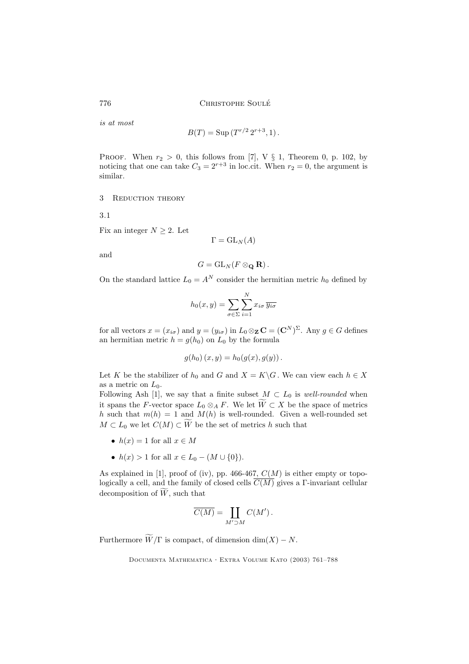is at most

$$
B(T) = \text{Sup}(T^{r/2} 2^{r+3}, 1).
$$

PROOF. When  $r_2 > 0$ , this follows from [7], V § 1, Theorem 0, p. 102, by noticing that one can take  $C_3 = 2^{r+3}$  in loc.cit. When  $r_2 = 0$ , the argument is similar.

3 REDUCTION THEORY

3.1

Fix an integer  $N \geq 2$ . Let

$$
\Gamma = \mathrm{GL}_N(A)
$$

and

$$
G=\operatorname{GL}_N(F\otimes_\mathbf{Q}\mathbf{R}).
$$

On the standard lattice  $L_0 = A^N$  consider the hermitian metric  $h_0$  defined by

$$
h_0(x, y) = \sum_{\sigma \in \Sigma} \sum_{i=1}^N x_{i\sigma} \overline{y_{i\sigma}}
$$

for all vectors  $x = (x_{i\sigma})$  and  $y = (y_{i\sigma})$  in  $L_0 \otimes_{\mathbf{Z}} \mathbf{C} = (\mathbf{C}^N)^{\Sigma}$ . Any  $g \in G$  defines an hermitian metric  $h = g(h_0)$  on  $L_0$  by the formula

$$
g(h_0)(x, y) = h_0(g(x), g(y)).
$$

Let K be the stabilizer of  $h_0$  and G and  $X = K\backslash G$ . We can view each  $h \in X$ as a metric on  $L_0$ .

Following Ash [1], we say that a finite subset  $M \subset L_0$  is well-rounded when it spans the F-vector space  $L_0 \otimes_A F$ . We let  $\widetilde{W} \subset X$  be the space of metrics h such that  $m(h) = 1$  and  $M(h)$  is well-rounded. Given a well-rounded set  $M \subset L_0$  we let  $C(M) \subset \widetilde{W}$  be the set of metrics h such that

- $h(x) = 1$  for all  $x \in M$
- $h(x) > 1$  for all  $x \in L_0 (M \cup \{0\}).$

As explained in [1], proof of (iv), pp. 466-467,  $C(M)$  is either empty or topologically a cell, and the family of closed cells  $\overline{C(M)}$  gives a Γ-invariant cellular decomposition of  $\widetilde{W}$ , such that

$$
\overline{C(M)} = \coprod_{M' \supset M} C(M') \, .
$$

Furthermore  $\widetilde{W}/\Gamma$  is compact, of dimension  $\dim(X) - N$ .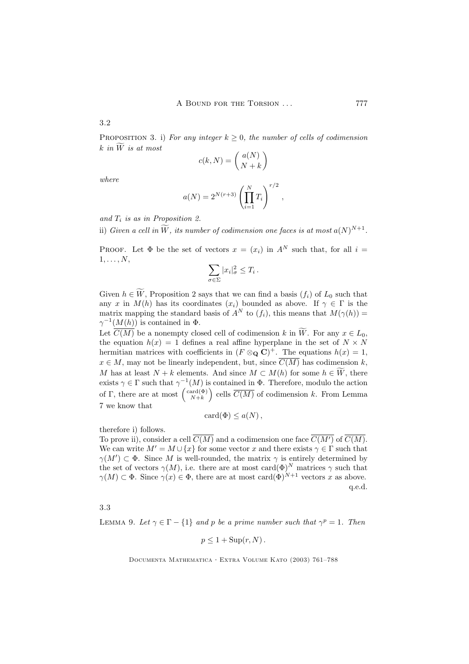3.2

PROPOSITION 3. i) For any integer  $k \geq 0$ , the number of cells of codimension k in  $\widetilde{W}$  is at most

$$
c(k, N) = \binom{a(N)}{N+k}
$$

where

$$
a(N) = 2^{N(r+3)} \left( \prod_{i=1}^{N} T_i \right)^{r/2},
$$

and  $T_i$  is as in Proposition 2.

ii) Given a cell in  $\tilde{W}$ , its number of codimension one faces is at most  $a(N)^{N+1}$ .

PROOF. Let  $\Phi$  be the set of vectors  $x = (x_i)$  in  $A^N$  such that, for all  $i =$  $1, \ldots, N$ ,

$$
\sum_{\sigma \in \Sigma} |x_i|^2_{\sigma} \leq T_i \, .
$$

Given  $h \in \widetilde{W}$ , Proposition 2 says that we can find a basis  $(f_i)$  of  $L_0$  such that any x in  $M(h)$  has its coordinates  $(x_i)$  bounded as above. If  $\gamma \in \Gamma$  is the matrix mapping the standard basis of  $A^N$  to  $(f_i)$ , this means that  $M(\gamma(h)) =$  $\gamma^{-1}(M(h))$  is contained in  $\Phi$ .

Let  $\overline{C(M)}$  be a nonempty closed cell of codimension k in W. For any  $x \in L_0$ , the equation  $h(x) = 1$  defines a real affine hyperplane in the set of  $N \times N$ hermitian matrices with coefficients in  $(F \otimes_{\mathbf{Q}} \mathbf{C})^+$ . The equations  $h(x) = 1$ ,  $x \in M$ , may not be linearly independent, but, since  $\overline{C(M)}$  has codimension k, M has at least  $N + k$  elements. And since  $M \subset M(h)$  for some  $h \in W$ , there exists  $\gamma \in \Gamma$  such that  $\gamma^{-1}(M)$  is contained in  $\Phi$ . Therefore, modulo the action of  $\Gamma$ , there are at most  $\begin{pmatrix} \text{card}(\Phi) \\ N+k \end{pmatrix}$ ) cells  $\overline{C(M)}$  of codimension k. From Lemma 7 we know that

$$
card(\Phi) \leq a(N) ,
$$

therefore i) follows.

To prove ii), consider a cell  $\overline{C(M)}$  and a codimension one face  $\overline{C(M')}$  of  $\overline{C(M)}$ . We can write  $M' = M \cup \{x\}$  for some vector x and there exists  $\gamma \in \Gamma$  such that  $\gamma(M') \subset \Phi$ . Since M is well-rounded, the matrix  $\gamma$  is entirely determined by the set of vectors  $\gamma(M)$ , i.e. there are at most card $(\Phi)^N$  matrices  $\gamma$  such that  $\gamma(M) \subset \Phi$ . Since  $\gamma(x) \in \Phi$ , there are at most card $(\Phi)^{N+1}$  vectors x as above. q.e.d.

3.3

LEMMA 9. Let  $\gamma \in \Gamma - \{1\}$  and p be a prime number such that  $\gamma^p = 1$ . Then

$$
p \le 1 + \mathrm{Sup}(r, N).
$$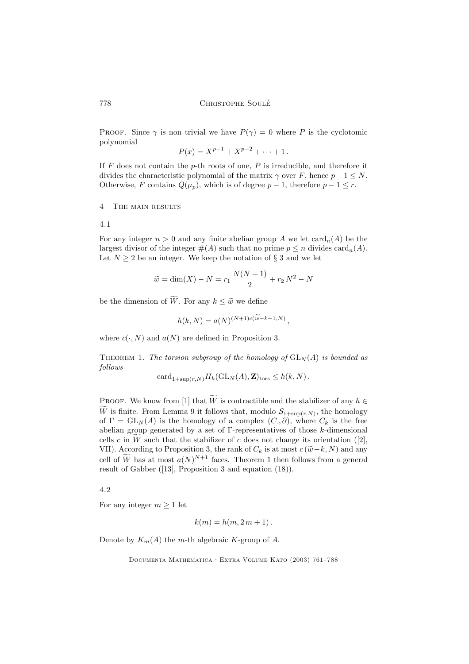PROOF. Since  $\gamma$  is non trivial we have  $P(\gamma) = 0$  where P is the cyclotomic polynomial

$$
P(x) = X^{p-1} + X^{p-2} + \dots + 1.
$$

If  $F$  does not contain the p-th roots of one,  $P$  is irreducible, and therefore it divides the characteristic polynomial of the matrix  $\gamma$  over F, hence  $p - 1 \leq N$ . Otherwise, F contains  $Q(\mu_p)$ , which is of degree  $p-1$ , therefore  $p-1 \leq r$ .

4 The main results

4.1

For any integer  $n > 0$  and any finite abelian group A we let  $\text{card}_n(A)$  be the largest divisor of the integer  $#(A)$  such that no prime  $p \leq n$  divides card<sub>n</sub> $(A)$ . Let  $N \geq 2$  be an integer. We keep the notation of § 3 and we let

$$
\widetilde{w} = \dim(X) - N = r_1 \frac{N(N+1)}{2} + r_2 N^2 - N
$$

be the dimension of  $\widetilde{W}$ . For any  $k \leq \widetilde{w}$  we define

$$
h(k, N) = a(N)^{(N+1)c(\widetilde{w}-k-1,N)},
$$

where  $c(\cdot, N)$  and  $a(N)$  are defined in Proposition 3.

THEOREM 1. The torsion subgroup of the homology of  $GL_N(A)$  is bounded as follows

 $\text{card}_{1+\text{sup}(r,N)}H_k(\text{GL}_N(A),\mathbf{Z})_{\text{tors}} \leq h(k,N).$ 

PROOF. We know from [1] that  $\widetilde{W}$  is contractible and the stabilizer of any  $h \in$ W is finite. From Lemma 9 it follows that, modulo  $S_{1+\sup(r,N)}$ , the homology of  $\Gamma = GL_N(A)$  is the homology of a complex  $(C, \partial)$ , where  $C_k$  is the free abelian group generated by a set of  $\Gamma$ -representatives of those  $k$ -dimensional cells c in W such that the stabilizer of c does not change its orientation ([2], VII). According to Proposition 3, the rank of  $C_k$  is at most  $c(\tilde{w}-k, N)$  and any cell of W has at most  $a(N)^{N+1}$  faces. Theorem 1 then follows from a general result of Gabber ([13], Proposition 3 and equation (18)).

4.2

For any integer  $m \geq 1$  let

$$
k(m) = h(m, 2m + 1).
$$

Denote by  $K_m(A)$  the m-th algebraic K-group of A.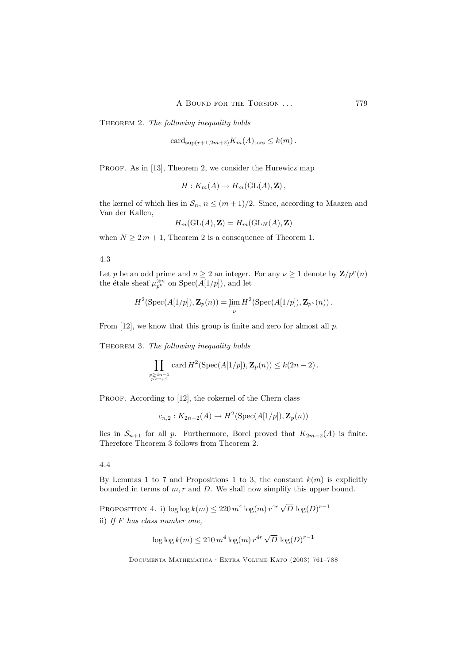THEOREM 2. The following inequality holds

card<sub>sup(r+1,2m+2)</sub> $K_m(A)_{\text{tors}} \leq k(m)$ .

PROOF. As in [13], Theorem 2, we consider the Hurewicz map

$$
H: K_m(A) \to H_m(\operatorname{GL}(A), \mathbf{Z}),
$$

the kernel of which lies in  $\mathcal{S}_n$ ,  $n \leq (m+1)/2$ . Since, according to Maazen and Van der Kallen,

$$
H_m(\operatorname{GL}(A),\mathbf{Z})=H_m(\operatorname{GL}_N(A),\mathbf{Z})
$$

when  $N \geq 2m + 1$ , Theorem 2 is a consequence of Theorem 1.

## 4.3

Let p be an odd prime and  $n \geq 2$  an integer. For any  $\nu \geq 1$  denote by  $\mathbf{Z}/p^{\nu}(n)$ the étale sheaf  $\mu_{p^{\nu}}^{\otimes n}$  on  $Spec(A[1/p]),$  and let

$$
H^2(\operatorname{Spec}(A[1/p]), \mathbf{Z}_p(n)) = \varprojlim_{\nu} H^2(\operatorname{Spec}(A[1/p]), \mathbf{Z}_{p^{\nu}}(n)).
$$

From  $[12]$ , we know that this group is finite and zero for almost all p.

THEOREM 3. The following inequality holds

$$
\prod_{\substack{p\geq 4n-1\\p\geq r+2}} \text{card } H^2(\text{Spec}(A[1/p]), \mathbf{Z}_p(n)) \leq k(2n-2).
$$

PROOF. According to [12], the cokernel of the Chern class

$$
c_{n,2}: K_{2n-2}(A) \to H^2(\operatorname{Spec}(A[1/p]), \mathbf{Z}_p(n))
$$

lies in  $S_{n+1}$  for all p. Furthermore, Borel proved that  $K_{2m-2}(A)$  is finite. Therefore Theorem 3 follows from Theorem 2.

## 4.4

By Lemmas 1 to 7 and Propositions 1 to 3, the constant  $k(m)$  is explicitly bounded in terms of  $m, r$  and  $D$ . We shall now simplify this upper bound.

PROPOSITION 4. i)  $\log \log k(m) \leq 220 m^4 \log(m) r^{4r} \sqrt{D} \log(D)^{r-1}$ ii) If F has class number one,

$$
\log\log k(m) \leq 210\,m^4\log(m)\,r^{4r}\,\sqrt{D}\,\log(D)^{r-1}
$$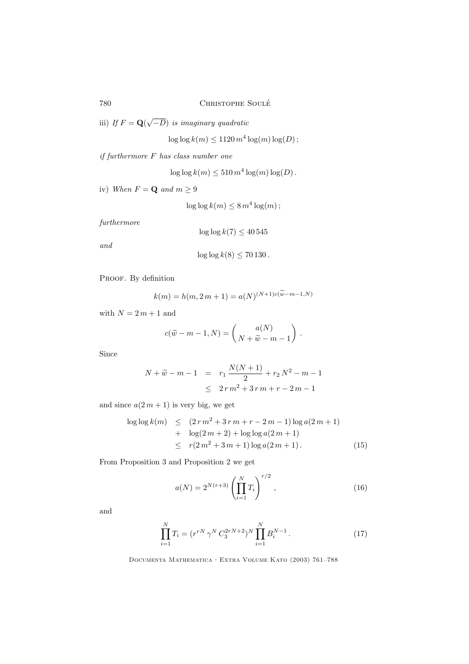iii) If  $F = \mathbf{Q}(\sqrt{-D})$  is imaginary quadratic

 $\log \log k(m) \le 1120 m^4 \log(m) \log(D);$ 

if furthermore F has class number one

 $\log \log k(m) \leq 510 m^4 \log(m) \log(D)$ .

iv) When  $F = \mathbf{Q}$  and  $m \geq 9$ 

 $\log \log k(m) \leq 8 m^4 \log(m);$ 

furthermore

$$
\log\log k(7) \le 40\,545
$$

and

$$
\log\log k(8) \le 70130.
$$

PROOF. By definition

$$
k(m) = h(m, 2m + 1) = a(N)^{(N+1)c(w-m-1,N)}
$$

with  $N = 2 m + 1$  and

$$
c(\widetilde{w}-m-1,N)=\binom{a(N)}{N+\widetilde{w}-m-1}.
$$

Since

$$
N + \widetilde{w} - m - 1 = r_1 \frac{N(N+1)}{2} + r_2 N^2 - m - 1
$$
  
 
$$
\leq 2r m^2 + 3r m + r - 2m - 1
$$

and since  $a(2m + 1)$  is very big, we get

$$
\log \log k(m) \le (2r m^2 + 3r m + r - 2m - 1) \log a(2m + 1) + \log(2m + 2) + \log \log a(2m + 1) \le r(2m^2 + 3m + 1) \log a(2m + 1).
$$
 (15)

From Proposition 3 and Proposition 2 we get

$$
a(N) = 2^{N(r+3)} \left(\prod_{i=1}^{N} T_i\right)^{r/2}, \qquad (16)
$$

and

$$
\prod_{i=1}^{N} T_i = (r^{rN} \gamma^N C_3^{2rN+2})^N \prod_{i=1}^{N} B_i^{N-1}.
$$
 (17)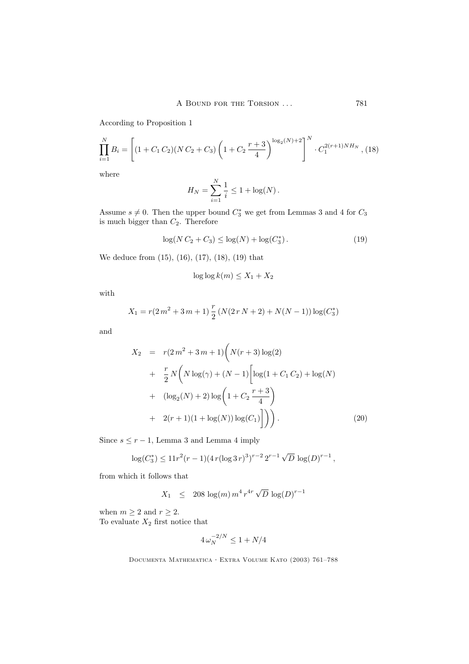According to Proposition 1

$$
\prod_{i=1}^{N} B_i = \left[ (1 + C_1 C_2)(NC_2 + C_3) \left( 1 + C_2 \frac{r+3}{4} \right)^{\log_2(N) + 2} \right]^N \cdot C_1^{2(r+1)NH_N}, (18)
$$

where

$$
H_N = \sum_{i=1}^{N} \frac{1}{i} \le 1 + \log(N).
$$

Assume  $s \neq 0$ . Then the upper bound  $C_3^*$  we get from Lemmas 3 and 4 for  $C_3$ is much bigger than  $C_2$ . Therefore

$$
\log(N C_2 + C_3) \le \log(N) + \log(C_3^*). \tag{19}
$$

We deduce from (15), (16), (17), (18), (19) that

$$
\log\log k(m) \le X_1 + X_2
$$

with

$$
X_1 = r(2m^2 + 3m + 1) \frac{r}{2} (N(2rN + 2) + N(N - 1)) \log(C_3^*)
$$

and

$$
X_2 = r(2m^2 + 3m + 1) \left( N(r+3) \log(2) + \frac{r}{2} N \left( N \log(\gamma) + (N-1) \left[ \log(1 + C_1 C_2) + \log(N) \right] + (\log_2(N) + 2) \log \left( 1 + C_2 \frac{r+3}{4} \right) + 2(r+1)(1 + \log(N)) \log(C_1) \right] \right).
$$
 (20)

Since  $s \leq r - 1$ , Lemma 3 and Lemma 4 imply

$$
\log(C_3^*) \le 11r^2(r-1)(4r(\log 3r)^3)^{r-2}2^{r-1}\sqrt{D}\log(D)^{r-1},
$$

from which it follows that

$$
X_1 \leq 208 \log(m) m^4 r^{4r} \sqrt{D} \log(D)^{r-1}
$$

when  $m \geq 2$  and  $r \geq 2$ . To evaluate  $X_2$  first notice that

$$
4\,\omega_N^{-2/N} \le 1 + N/4
$$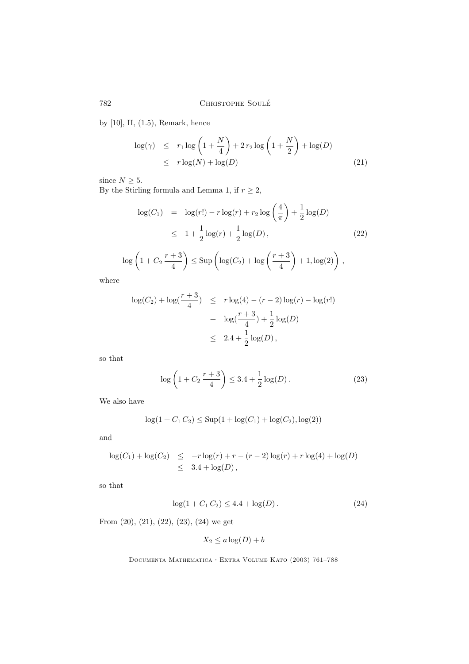by [10], II, (1.5), Remark, hence

$$
\log(\gamma) \leq r_1 \log\left(1 + \frac{N}{4}\right) + 2r_2 \log\left(1 + \frac{N}{2}\right) + \log(D)
$$
  

$$
\leq r \log(N) + \log(D)
$$
 (21)

since  $N \geq 5$ .

By the Stirling formula and Lemma 1, if  $r\geq 2,$ 

$$
\log(C_1) = \log(r!) - r \log(r) + r_2 \log\left(\frac{4}{\pi}\right) + \frac{1}{2}\log(D)
$$
  
\n
$$
\leq 1 + \frac{1}{2}\log(r) + \frac{1}{2}\log(D),
$$
\n(22)

$$
\log\left(1+C_2\frac{r+3}{4}\right) \leq \text{Sup}\left(\log(C_2)+\log\left(\frac{r+3}{4}\right)+1,\log(2)\right),
$$

where

$$
\log(C_2) + \log(\frac{r+3}{4}) \le r \log(4) - (r-2) \log(r) - \log(r!) + \log(\frac{r+3}{4}) + \frac{1}{2} \log(D)
$$
  

$$
\le 2.4 + \frac{1}{2} \log(D),
$$

so that

$$
\log\left(1 + C_2 \frac{r+3}{4}\right) \le 3.4 + \frac{1}{2}\log(D). \tag{23}
$$

We also have

$$
\log(1 + C_1 C_2) \leq \text{Sup}(1 + \log(C_1) + \log(C_2), \log(2))
$$

and

$$
\log(C_1) + \log(C_2) \le -r \log(r) + r - (r - 2) \log(r) + r \log(4) + \log(D)
$$
  
 
$$
\le 3.4 + \log(D),
$$

so that

$$
\log(1 + C_1 C_2) \le 4.4 + \log(D). \tag{24}
$$

From (20), (21), (22), (23), (24) we get

$$
X_2 \le a \log(D) + b
$$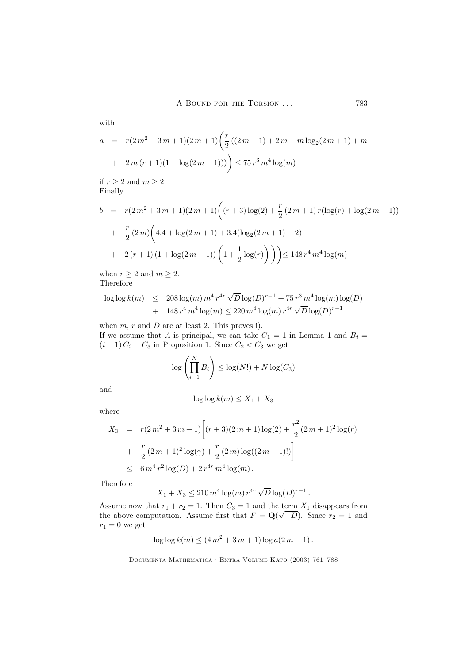A BOUND FOR THE TORSION ... 783

with

$$
a = r(2m^{2} + 3m + 1)(2m + 1)\left(\frac{r}{2}((2m + 1) + 2m + m \log_{2}(2m + 1) + m + 2m(r + 1)(1 + \log(2m + 1)))\right) \le 75 r^{3} m^{4} \log(m)
$$

if  $r\geq 2$  and  $m\geq 2.$ Finally

$$
b = r(2m^{2} + 3m + 1)(2m + 1)\left((r + 3)\log(2) + \frac{r}{2}(2m + 1)r(\log(r) + \log(2m + 1))\right)
$$
  
+ 
$$
\frac{r}{2}(2m)\left(4.4 + \log(2m + 1) + 3.4(\log_{2}(2m + 1) + 2)\right)
$$
  
+ 
$$
2(r + 1)(1 + \log(2m + 1))\left(1 + \frac{1}{2}\log(r)\right)\right) \le 148 r^{4} m^{4} \log(m)
$$

when  $r \geq 2$  and  $m \geq 2$ .

Therefore

$$
\log \log k(m) \leq 208 \log(m) m^4 r^{4r} \sqrt{D} \log(D)^{r-1} + 75 r^3 m^4 \log(m) \log(D) + 148 r^4 m^4 \log(m) \leq 220 m^4 \log(m) r^{4r} \sqrt{D} \log(D)^{r-1}
$$

when  $m, r$  and  $D$  are at least 2. This proves i).

If we assume that A is principal, we can take  $C_1 = 1$  in Lemma 1 and  $B_i =$  $(i-1) C_2 + C_3$  in Proposition 1. Since  $C_2 < C_3$  we get

$$
\log\left(\prod_{i=1}^N B_i\right) \le \log(N!) + N\log(C_3)
$$

and

$$
\log\log k(m) \le X_1 + X_3
$$

where

$$
X_3 = r(2m^2 + 3m + 1) \left[ (r+3)(2m+1)\log(2) + \frac{r^2}{2}(2m+1)^2 \log(r) + \frac{r}{2}(2m+1)^2 \log(\gamma) + \frac{r}{2}(2m) \log((2m+1)!) \right]
$$
  

$$
\leq 6m^4 r^2 \log(D) + 2r^{4r} m^4 \log(m).
$$

Therefore

$$
X_1 + X_3 \le 210 m^4 \log(m) r^{4r} \sqrt{D} \log(D)^{r-1}.
$$

Assume now that  $r_1 + r_2 = 1$ . Then  $C_3 = 1$  and the term  $X_1$  disappears from the above computation. Assume first that  $F = \mathbf{Q}(\sqrt{-D})$ . Since  $r_2 = 1$  and  $r_1 = 0$  we get

$$
\log \log k(m) \le (4m^2 + 3m + 1) \log a(2m + 1).
$$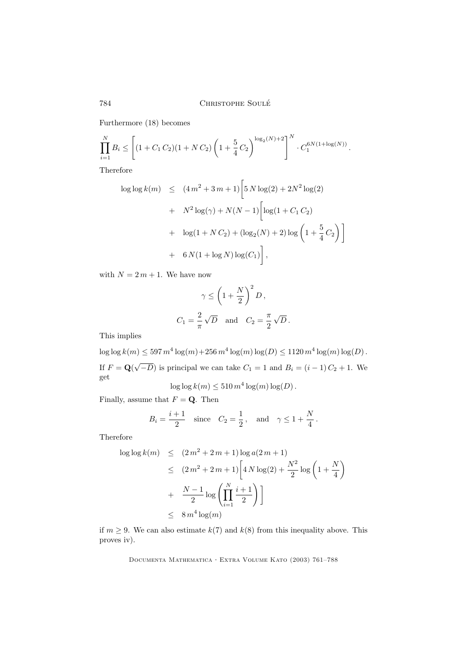Furthermore (18) becomes

$$
\prod_{i=1}^{N} B_i \le \left[ (1 + C_1 C_2)(1 + NC_2) \left(1 + \frac{5}{4} C_2\right)^{\log_2(N) + 2} \right]^N \cdot C_1^{6N(1 + \log(N))}.
$$

Therefore

$$
\log \log k(m) \le (4m^2 + 3m + 1) \left[ 5 N \log(2) + 2N^2 \log(2) + N^2 \log(2) + N^2 \log(\gamma) + N(N - 1) \left[ \log(1 + C_1 C_2) + \log(1 + N C_2) + (\log_2(N) + 2) \log \left( 1 + \frac{5}{4} C_2 \right) \right] + 6 N(1 + \log N) \log(C_1) \right],
$$

with  $N = 2 m + 1$ . We have now

$$
\gamma \le \left(1 + \frac{N}{2}\right)^2 D,
$$
  

$$
C_1 = \frac{2}{\pi} \sqrt{D} \text{ and } C_2 = \frac{\pi}{2} \sqrt{D}.
$$

This implies

 $\log \log k(m) \leq 597 m^4 \log(m) + 256 m^4 \log(m) \log(D) \leq 1120 m^4 \log(m) \log(D)$ . If  $F = \mathbf{Q}(\sqrt{-D})$  is principal we can take  $C_1 = 1$  and  $B_i = (i - 1)C_2 + 1$ . We get

 $\log \log k(m) \leq 510 m^4 \log(m) \log(D)$ .

Finally, assume that  $F = \mathbf{Q}$ . Then

$$
B_i = \frac{i+1}{2}
$$
 since  $C_2 = \frac{1}{2}$ , and  $\gamma \le 1 + \frac{N}{4}$ .

Therefore

$$
\log \log k(m) \le (2m^2 + 2m + 1) \log a(2m + 1)
$$
  
\n
$$
\le (2m^2 + 2m + 1) \left[ 4N \log(2) + \frac{N^2}{2} \log \left( 1 + \frac{N}{4} \right) + \frac{N-1}{2} \log \left( \prod_{i=1}^N \frac{i+1}{2} \right) \right]
$$
  
\n
$$
\le 8m^4 \log(m)
$$

if  $m \geq 9$ . We can also estimate  $k(7)$  and  $k(8)$  from this inequality above. This proves iv).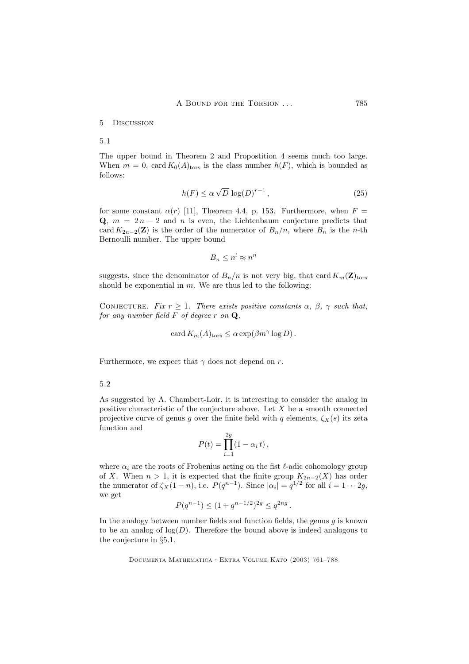#### 5 Discussion

5.1

The upper bound in Theorem 2 and Propostition 4 seems much too large. When  $m = 0$ , card  $K_0(A)_{\text{tors}}$  is the class number  $h(F)$ , which is bounded as follows:

$$
h(F) \le \alpha \sqrt{D} \, \log(D)^{r-1} \,, \tag{25}
$$

for some constant  $\alpha(r)$  [11], Theorem 4.4, p. 153. Furthermore, when  $F =$ Q,  $m = 2n - 2$  and n is even, the Lichtenbaum conjecture predicts that card  $K_{2n-2}(\mathbf{Z})$  is the order of the numerator of  $B_n/n$ , where  $B_n$  is the n-th Bernoulli number. The upper bound

$$
B_n \le n^! \approx n^n
$$

suggests, since the denominator of  $B_n/n$  is not very big, that card  $K_m(\mathbf{Z})_{\text{tors}}$ should be exponential in  $m$ . We are thus led to the following:

CONJECTURE. Fix  $r \geq 1$ . There exists positive constants  $\alpha$ ,  $\beta$ ,  $\gamma$  such that, for any number field  $F$  of degree  $r$  on  $Q$ ,

$$
card K_m(A)_{tors} \leq \alpha exp(\beta m^{\gamma} \log D).
$$

Furthermore, we expect that  $\gamma$  does not depend on r.

## 5.2

As suggested by A. Chambert-Loir, it is interesting to consider the analog in positive characteristic of the conjecture above. Let  $X$  be a smooth connected projective curve of genus g over the finite field with q elements,  $\zeta_X(s)$  its zeta function and

$$
P(t) = \prod_{i=1}^{2g} (1 - \alpha_i t),
$$

where  $\alpha_i$  are the roots of Frobenius acting on the fist  $\ell$ -adic cohomology group of X. When  $n > 1$ , it is expected that the finite group  $K_{2n-2}(X)$  has order the numerator of  $\zeta_X(1-n)$ , i.e.  $P(q^{n-1})$ . Since  $|\alpha_i| = q^{1/2}$  for all  $i = 1 \cdots 2g$ , we get

$$
P(q^{n-1}) \le (1 + q^{n-1/2})^{2g} \le q^{2ng}.
$$

In the analogy between number fields and function fields, the genus  $g$  is known to be an analog of  $log(D)$ . Therefore the bound above is indeed analogous to the conjecture in §5.1.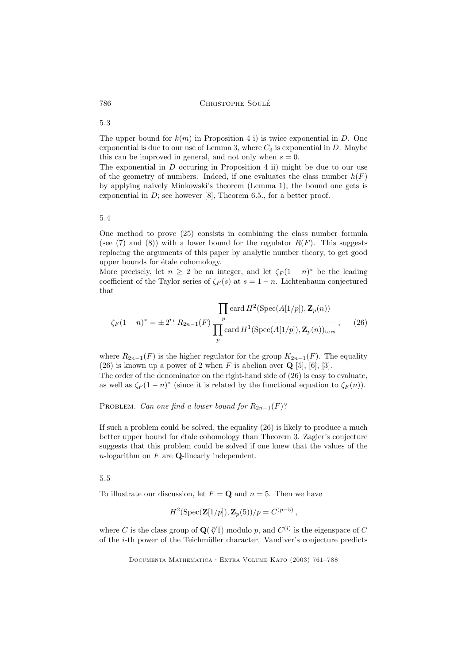The upper bound for  $k(m)$  in Proposition 4 i) is twice exponential in D. One exponential is due to our use of Lemma 3, where  $C_3$  is exponential in D. Maybe this can be improved in general, and not only when  $s = 0$ .

The exponential in  $D$  occuring in Proposition 4 ii) might be due to our use of the geometry of numbers. Indeed, if one evaluates the class number  $h(F)$ by applying naively Minkowski's theorem (Lemma 1), the bound one gets is exponential in  $D$ ; see however [8], Theorem 6.5., for a better proof.

## 5.4

One method to prove (25) consists in combining the class number formula (see (7) and (8)) with a lower bound for the regulator  $R(F)$ . This suggests replacing the arguments of this paper by analytic number theory, to get good upper bounds for étale cohomology.

More precisely, let  $n \geq 2$  be an integer, and let  $\zeta_F(1-n)^*$  be the leading coefficient of the Taylor series of  $\zeta_F(s)$  at  $s = 1 - n$ . Lichtenbaum conjectured that

$$
\zeta_F(1-n)^* = \pm 2^{r_1} R_{2n-1}(F) \frac{\prod_{p} \text{card } H^2(\text{Spec}(A[1/p]), \mathbf{Z}_p(n))}{\prod_{p} \text{card } H^1(\text{Spec}(A[1/p]), \mathbf{Z}_p(n))_{\text{tors}}},
$$
(26)

where  $R_{2n-1}(F)$  is the higher regulator for the group  $K_{2n-1}(F)$ . The equality (26) is known up a power of 2 when  $F$  is abelian over  $\mathbf{Q}$  [5], [6], [3]. The order of the denominator on the right-hand side of (26) is easy to evaluate,

as well as  $\zeta_F(1-n)^*$  (since it is related by the functional equation to  $\zeta_F(n)$ ).

PROBLEM. Can one find a lower bound for  $R_{2n-1}(F)$ ?

If such a problem could be solved, the equality (26) is likely to produce a much better upper bound for étale cohomology than Theorem 3. Zagier's conjecture suggests that this problem could be solved if one knew that the values of the  $n$ -logarithm on  $F$  are **Q**-linearly independent.

# 5.5

To illustrate our discussion, let  $F = \mathbf{Q}$  and  $n = 5$ . Then we have

$$
H^2(\text{Spec}(\mathbf{Z}[1/p]), \mathbf{Z}_p(5))/p = C^{(p-5)},
$$

where C is the class group of  $\mathbf{Q}(\sqrt[p]{1})$  modulo p, and  $C^{(i)}$  is the eigenspace of C of the  $i$ -th power of the Teichmüller character. Vandiver's conjecture predicts

Documenta Mathematica · Extra Volume Kato (2003) 761–788

# 5.3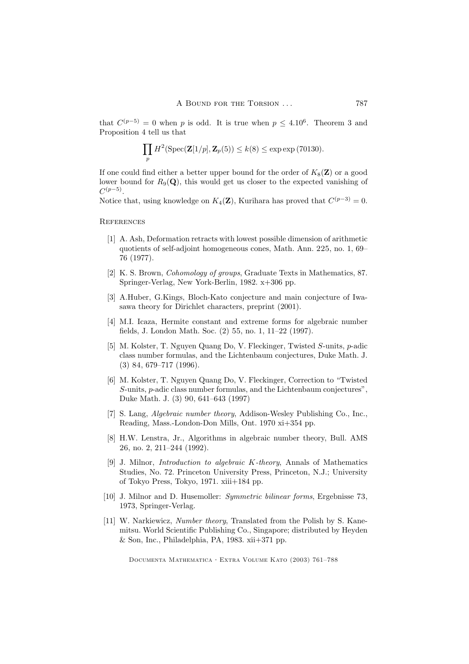that  $C^{(p-5)} = 0$  when p is odd. It is true when  $p \leq 4.10^6$ . Theorem 3 and Proposition 4 tell us that

$$
\prod_p H^2(\operatorname{Spec}(\mathbf{Z}[1/p], \mathbf{Z}_p(5)) \le k(8) \le \exp \exp(70130).
$$

If one could find either a better upper bound for the order of  $K_8(Z)$  or a good lower bound for  $R_9(Q)$ , this would get us closer to the expected vanishing of  $C^{(p-5)}$ .

Notice that, using knowledge on  $K_4(\mathbf{Z})$ , Kurihara has proved that  $C^{(p-3)} = 0$ .

**REFERENCES** 

- [1] A. Ash, Deformation retracts with lowest possible dimension of arithmetic quotients of self-adjoint homogeneous cones, Math. Ann. 225, no. 1, 69– 76 (1977).
- [2] K. S. Brown, Cohomology of groups, Graduate Texts in Mathematics, 87. Springer-Verlag, New York-Berlin, 1982. x+306 pp.
- [3] A.Huber, G.Kings, Bloch-Kato conjecture and main conjecture of Iwasawa theory for Dirichlet characters, preprint (2001).
- [4] M.I. Icaza, Hermite constant and extreme forms for algebraic number fields, J. London Math. Soc. (2) 55, no. 1, 11–22 (1997).
- [5] M. Kolster, T. Nguyen Quang Do, V. Fleckinger, Twisted S-units, p-adic class number formulas, and the Lichtenbaum conjectures, Duke Math. J. (3) 84, 679–717 (1996).
- [6] M. Kolster, T. Nguyen Quang Do, V. Fleckinger, Correction to "Twisted S-units, p-adic class number formulas, and the Lichtenbaum conjectures", Duke Math. J. (3) 90, 641–643 (1997)
- [7] S. Lang, Algebraic number theory, Addison-Wesley Publishing Co., Inc., Reading, Mass.-London-Don Mills, Ont. 1970 xi+354 pp.
- [8] H.W. Lenstra, Jr., Algorithms in algebraic number theory, Bull. AMS 26, no. 2, 211–244 (1992).
- [9] J. Milnor, Introduction to algebraic K-theory, Annals of Mathematics Studies, No. 72. Princeton University Press, Princeton, N.J.; University of Tokyo Press, Tokyo, 1971. xiii+184 pp.
- [10] J. Milnor and D. Husemoller: Symmetric bilinear forms, Ergebnisse 73, 1973, Springer-Verlag.
- [11] W. Narkiewicz, *Number theory*, Translated from the Polish by S. Kanemitsu. World Scientific Publishing Co., Singapore; distributed by Heyden  $&$  Son, Inc., Philadelphia, PA, 1983. xii+371 pp.